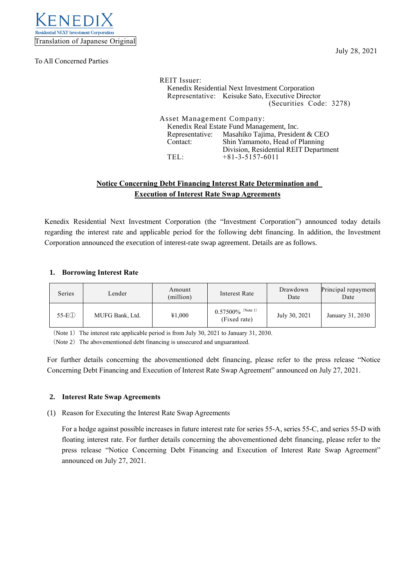

To All Concerned Parties

| <b>REIT</b> Issuer:       |                                                  |
|---------------------------|--------------------------------------------------|
|                           | Kenedix Residential Next Investment Corporation  |
|                           | Representative: Keisuke Sato, Executive Director |
|                           | (Securities Code: 3278)                          |
|                           |                                                  |
| Asset Management Company: |                                                  |
|                           | Kenedix Real Estate Fund Management, Inc.        |
|                           | Representative: Masahiko Tajima, President & CEO |
| Contact:                  | Shin Yamamoto, Head of Planning                  |
|                           | Division, Residential REIT Department            |
| TFI -                     | $+81 - 3 - 5157 - 6011$                          |

# **Notice Concerning Debt Financing Interest Rate Determination and Execution of Interest Rate Swap Agreements**

Kenedix Residential Next Investment Corporation (the "Investment Corporation") announced today details regarding the interest rate and applicable period for the following debt financing. In addition, the Investment Corporation announced the execution of interest-rate swap agreement. Details are as follows.

## **1. Borrowing Interest Rate**

| Series              | Lender          | Amount<br>(million) | Interest Rate                        | Drawdown<br>Date | Principal repayment<br>Date |
|---------------------|-----------------|---------------------|--------------------------------------|------------------|-----------------------------|
| 55-E <sub>(1)</sub> | MUFG Bank, Ltd. | ¥1,000              | $0.57500\%$ (Note 1)<br>(Fixed rate) | July 30, 2021    | January 31, 2030            |

(Note 1) The interest rate applicable period is from July 30, 2021 to January 31, 2030.

(Note 2) The abovementioned debt financing is unsecured and unguaranteed.

For further details concerning the abovementioned debt financing, please refer to the press release "Notice Concerning Debt Financing and Execution of Interest Rate Swap Agreement" announced on July 27, 2021.

### **2. Interest Rate Swap Agreements**

(1) Reason for Executing the Interest Rate Swap Agreements

For a hedge against possible increases in future interest rate for series 55-A, series 55-C, and series 55-D with floating interest rate. For further details concerning the abovementioned debt financing, please refer to the press release "Notice Concerning Debt Financing and Execution of Interest Rate Swap Agreement" announced on July 27, 2021.